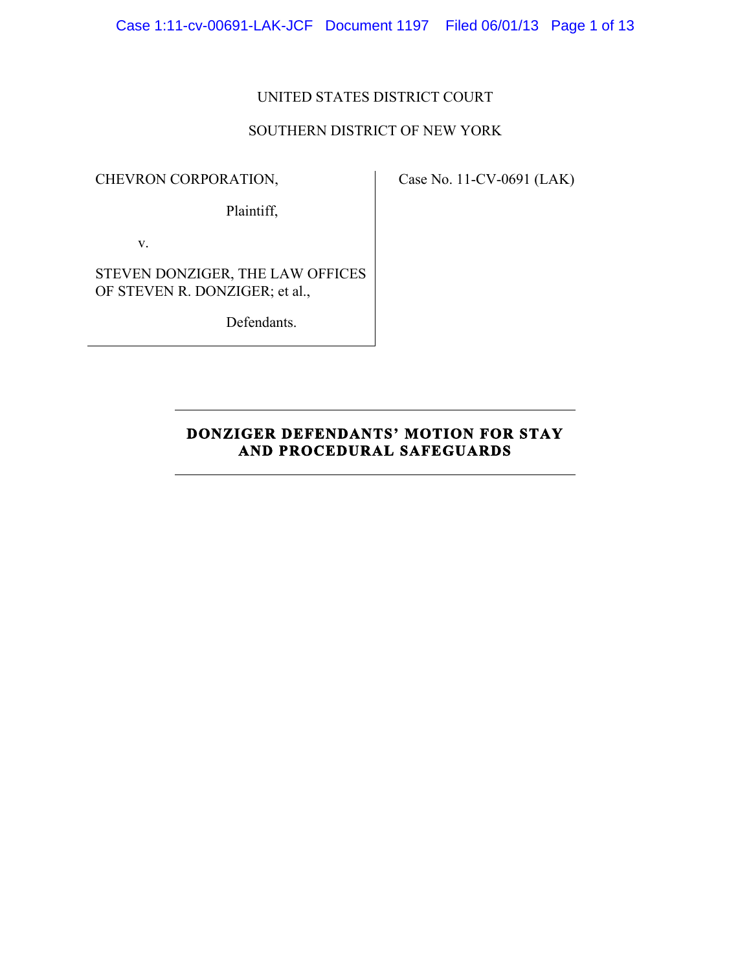Case 1:11-cv-00691-LAK-JCF Document 1197 Filed 06/01/13 Page 1 of 13

## UNITED STATES DISTRICT COURT

## SOUTHERN DISTRICT OF NEW YORK

CHEVRON CORPORATION,

Case No. 11-CV-0691 (LAK)

Plaintiff,

v.

STEVEN DONZIGER, THE LAW OFFICES OF STEVEN R. DONZIGER; et al.,

Defendants.

# **DONZIGER DEFENDANTS' MOTION FOR STAY AND PROCEDURAL SAFEGUARDS**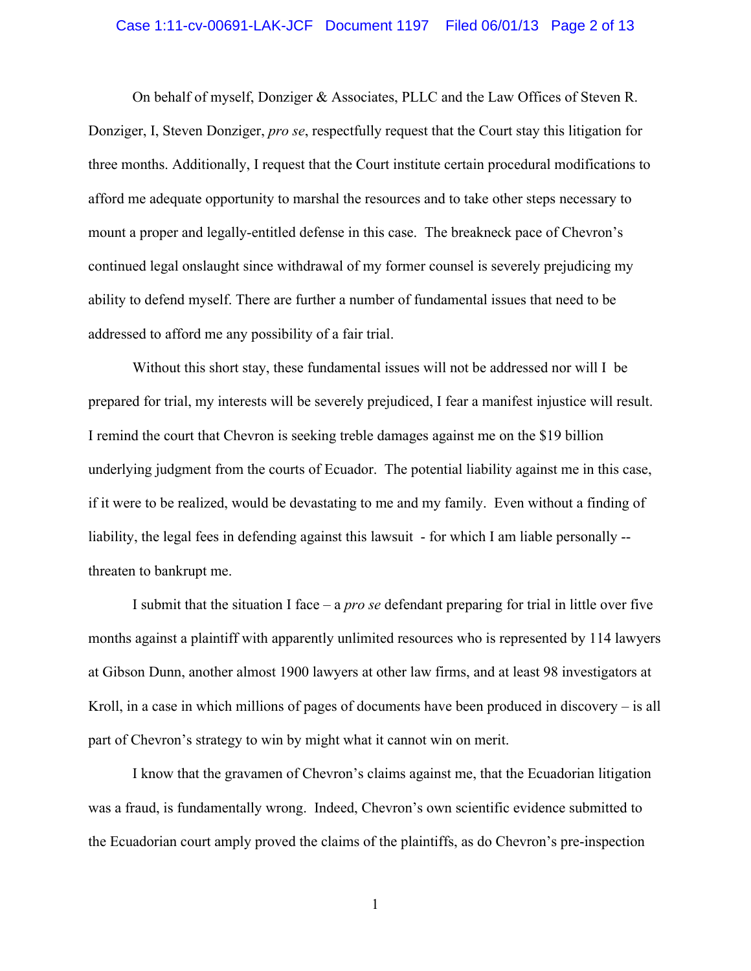#### Case 1:11-cv-00691-LAK-JCF Document 1197 Filed 06/01/13 Page 2 of 13

On behalf of myself, Donziger & Associates, PLLC and the Law Offices of Steven R. Donziger, I, Steven Donziger, *pro se*, respectfully request that the Court stay this litigation for three months. Additionally, I request that the Court institute certain procedural modifications to afford me adequate opportunity to marshal the resources and to take other steps necessary to mount a proper and legally-entitled defense in this case. The breakneck pace of Chevron's continued legal onslaught since withdrawal of my former counsel is severely prejudicing my ability to defend myself. There are further a number of fundamental issues that need to be addressed to afford me any possibility of a fair trial.

Without this short stay, these fundamental issues will not be addressed nor will I be prepared for trial, my interests will be severely prejudiced, I fear a manifest injustice will result. I remind the court that Chevron is seeking treble damages against me on the \$19 billion underlying judgment from the courts of Ecuador. The potential liability against me in this case, if it were to be realized, would be devastating to me and my family. Even without a finding of liability, the legal fees in defending against this lawsuit - for which I am liable personally - threaten to bankrupt me.

I submit that the situation I face – a *pro se* defendant preparing for trial in little over five months against a plaintiff with apparently unlimited resources who is represented by 114 lawyers at Gibson Dunn, another almost 1900 lawyers at other law firms, and at least 98 investigators at Kroll, in a case in which millions of pages of documents have been produced in discovery – is all part of Chevron's strategy to win by might what it cannot win on merit.

I know that the gravamen of Chevron's claims against me, that the Ecuadorian litigation was a fraud, is fundamentally wrong. Indeed, Chevron's own scientific evidence submitted to the Ecuadorian court amply proved the claims of the plaintiffs, as do Chevron's pre-inspection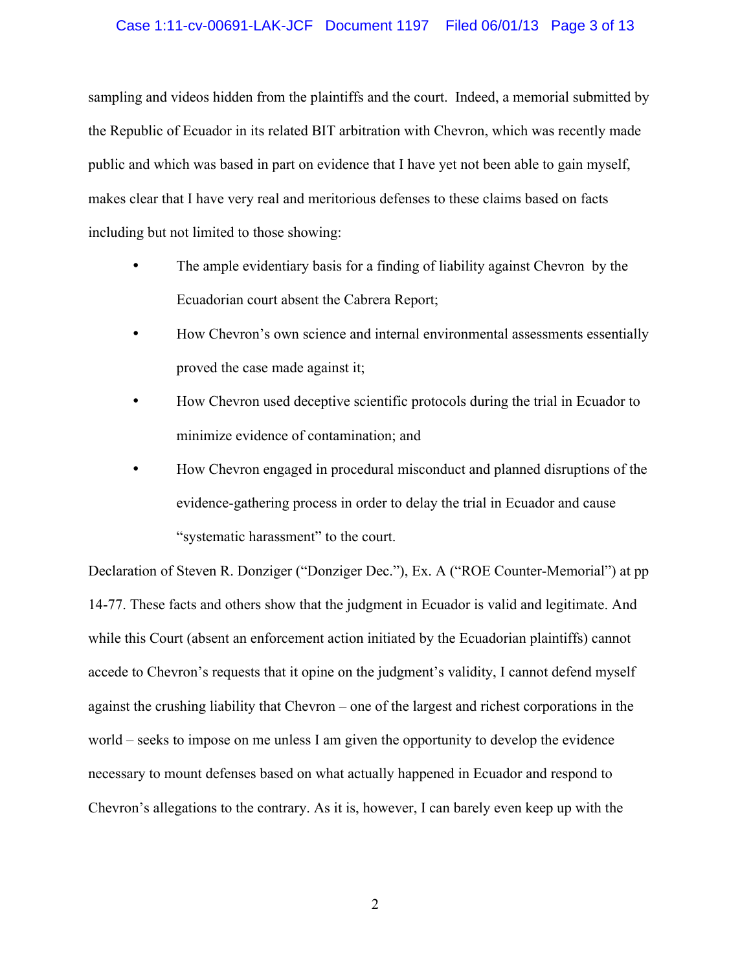### Case 1:11-cv-00691-LAK-JCF Document 1197 Filed 06/01/13 Page 3 of 13

sampling and videos hidden from the plaintiffs and the court. Indeed, a memorial submitted by the Republic of Ecuador in its related BIT arbitration with Chevron, which was recently made public and which was based in part on evidence that I have yet not been able to gain myself, makes clear that I have very real and meritorious defenses to these claims based on facts including but not limited to those showing:

- The ample evidentiary basis for a finding of liability against Chevron by the Ecuadorian court absent the Cabrera Report;
- How Chevron's own science and internal environmental assessments essentially proved the case made against it;
- How Chevron used deceptive scientific protocols during the trial in Ecuador to minimize evidence of contamination; and
- How Chevron engaged in procedural misconduct and planned disruptions of the evidence-gathering process in order to delay the trial in Ecuador and cause "systematic harassment" to the court.

Declaration of Steven R. Donziger ("Donziger Dec."), Ex. A ("ROE Counter-Memorial") at pp 14-77. These facts and others show that the judgment in Ecuador is valid and legitimate. And while this Court (absent an enforcement action initiated by the Ecuadorian plaintiffs) cannot accede to Chevron's requests that it opine on the judgment's validity, I cannot defend myself against the crushing liability that Chevron – one of the largest and richest corporations in the world – seeks to impose on me unless I am given the opportunity to develop the evidence necessary to mount defenses based on what actually happened in Ecuador and respond to Chevron's allegations to the contrary. As it is, however, I can barely even keep up with the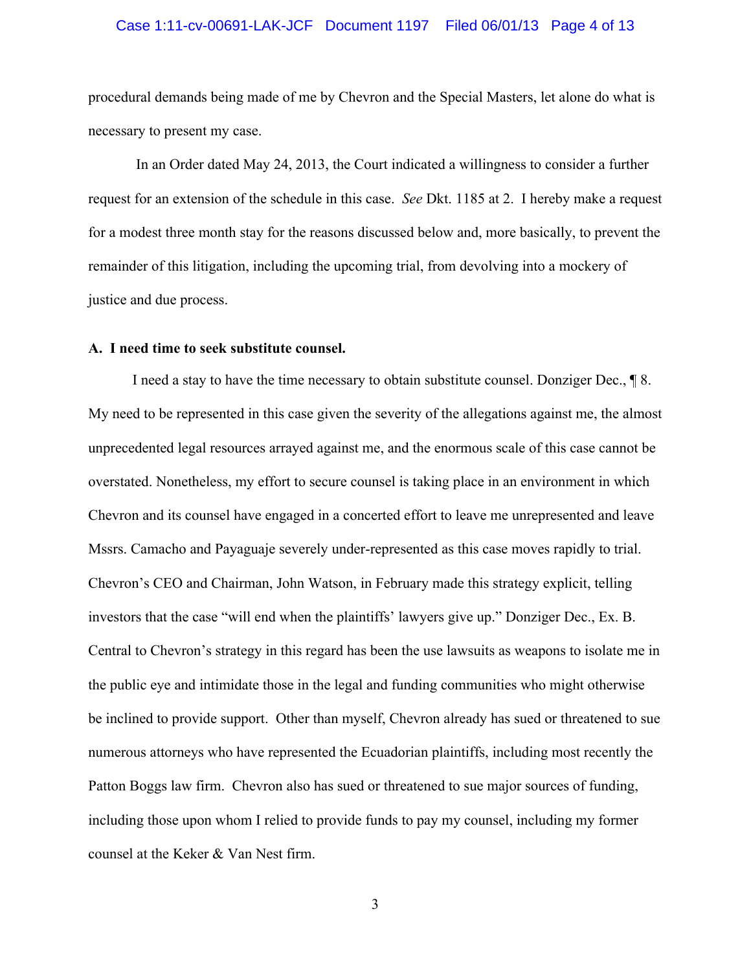#### Case 1:11-cv-00691-LAK-JCF Document 1197 Filed 06/01/13 Page 4 of 13

procedural demands being made of me by Chevron and the Special Masters, let alone do what is necessary to present my case.

 In an Order dated May 24, 2013, the Court indicated a willingness to consider a further request for an extension of the schedule in this case. *See* Dkt. 1185 at 2. I hereby make a request for a modest three month stay for the reasons discussed below and, more basically, to prevent the remainder of this litigation, including the upcoming trial, from devolving into a mockery of justice and due process.

#### **A. I need time to seek substitute counsel.**

I need a stay to have the time necessary to obtain substitute counsel. Donziger Dec., ¶ 8. My need to be represented in this case given the severity of the allegations against me, the almost unprecedented legal resources arrayed against me, and the enormous scale of this case cannot be overstated. Nonetheless, my effort to secure counsel is taking place in an environment in which Chevron and its counsel have engaged in a concerted effort to leave me unrepresented and leave Mssrs. Camacho and Payaguaje severely under-represented as this case moves rapidly to trial. Chevron's CEO and Chairman, John Watson, in February made this strategy explicit, telling investors that the case "will end when the plaintiffs' lawyers give up." Donziger Dec., Ex. B. Central to Chevron's strategy in this regard has been the use lawsuits as weapons to isolate me in the public eye and intimidate those in the legal and funding communities who might otherwise be inclined to provide support. Other than myself, Chevron already has sued or threatened to sue numerous attorneys who have represented the Ecuadorian plaintiffs, including most recently the Patton Boggs law firm. Chevron also has sued or threatened to sue major sources of funding, including those upon whom I relied to provide funds to pay my counsel, including my former counsel at the Keker & Van Nest firm.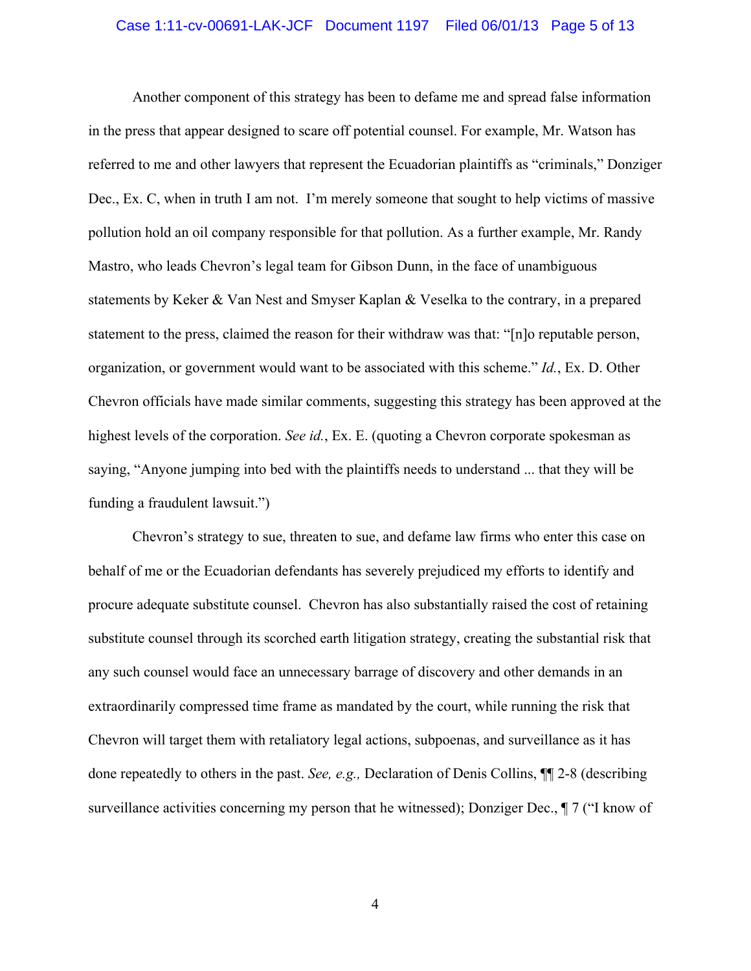#### Case 1:11-cv-00691-LAK-JCF Document 1197 Filed 06/01/13 Page 5 of 13

Another component of this strategy has been to defame me and spread false information in the press that appear designed to scare off potential counsel. For example, Mr. Watson has referred to me and other lawyers that represent the Ecuadorian plaintiffs as "criminals," Donziger Dec., Ex. C, when in truth I am not. I'm merely someone that sought to help victims of massive pollution hold an oil company responsible for that pollution. As a further example, Mr. Randy Mastro, who leads Chevron's legal team for Gibson Dunn, in the face of unambiguous statements by Keker & Van Nest and Smyser Kaplan & Veselka to the contrary, in a prepared statement to the press, claimed the reason for their withdraw was that: "[n]o reputable person, organization, or government would want to be associated with this scheme." *Id.*, Ex. D. Other Chevron officials have made similar comments, suggesting this strategy has been approved at the highest levels of the corporation. *See id.*, Ex. E. (quoting a Chevron corporate spokesman as saying, "Anyone jumping into bed with the plaintiffs needs to understand ... that they will be funding a fraudulent lawsuit.")

Chevron's strategy to sue, threaten to sue, and defame law firms who enter this case on behalf of me or the Ecuadorian defendants has severely prejudiced my efforts to identify and procure adequate substitute counsel. Chevron has also substantially raised the cost of retaining substitute counsel through its scorched earth litigation strategy, creating the substantial risk that any such counsel would face an unnecessary barrage of discovery and other demands in an extraordinarily compressed time frame as mandated by the court, while running the risk that Chevron will target them with retaliatory legal actions, subpoenas, and surveillance as it has done repeatedly to others in the past. *See, e.g.,* Declaration of Denis Collins, ¶¶ 2-8 (describing surveillance activities concerning my person that he witnessed); Donziger Dec., ¶ 7 ("I know of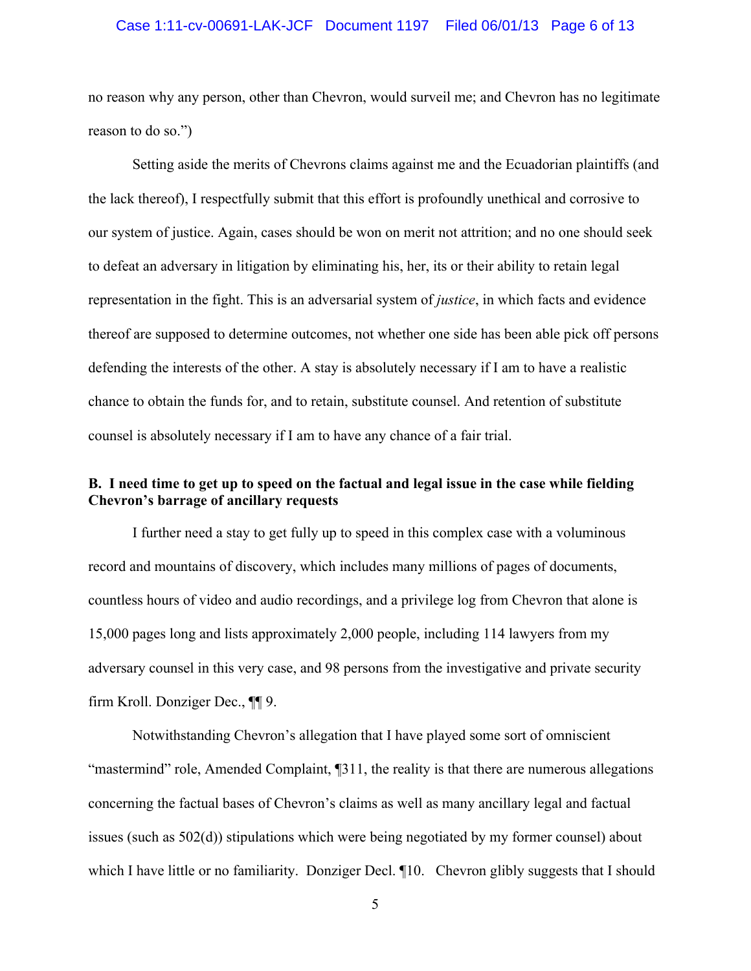#### Case 1:11-cv-00691-LAK-JCF Document 1197 Filed 06/01/13 Page 6 of 13

no reason why any person, other than Chevron, would surveil me; and Chevron has no legitimate reason to do so.")

Setting aside the merits of Chevrons claims against me and the Ecuadorian plaintiffs (and the lack thereof), I respectfully submit that this effort is profoundly unethical and corrosive to our system of justice. Again, cases should be won on merit not attrition; and no one should seek to defeat an adversary in litigation by eliminating his, her, its or their ability to retain legal representation in the fight. This is an adversarial system of *justice*, in which facts and evidence thereof are supposed to determine outcomes, not whether one side has been able pick off persons defending the interests of the other. A stay is absolutely necessary if I am to have a realistic chance to obtain the funds for, and to retain, substitute counsel. And retention of substitute counsel is absolutely necessary if I am to have any chance of a fair trial.

## **B. I need time to get up to speed on the factual and legal issue in the case while fielding Chevron's barrage of ancillary requests**

I further need a stay to get fully up to speed in this complex case with a voluminous record and mountains of discovery, which includes many millions of pages of documents, countless hours of video and audio recordings, and a privilege log from Chevron that alone is 15,000 pages long and lists approximately 2,000 people, including 114 lawyers from my adversary counsel in this very case, and 98 persons from the investigative and private security firm Kroll. Donziger Dec., ¶¶ 9.

Notwithstanding Chevron's allegation that I have played some sort of omniscient "mastermind" role, Amended Complaint, ¶311, the reality is that there are numerous allegations concerning the factual bases of Chevron's claims as well as many ancillary legal and factual issues (such as 502(d)) stipulations which were being negotiated by my former counsel) about which I have little or no familiarity. Donziger Decl.  $\P$ 10. Chevron glibly suggests that I should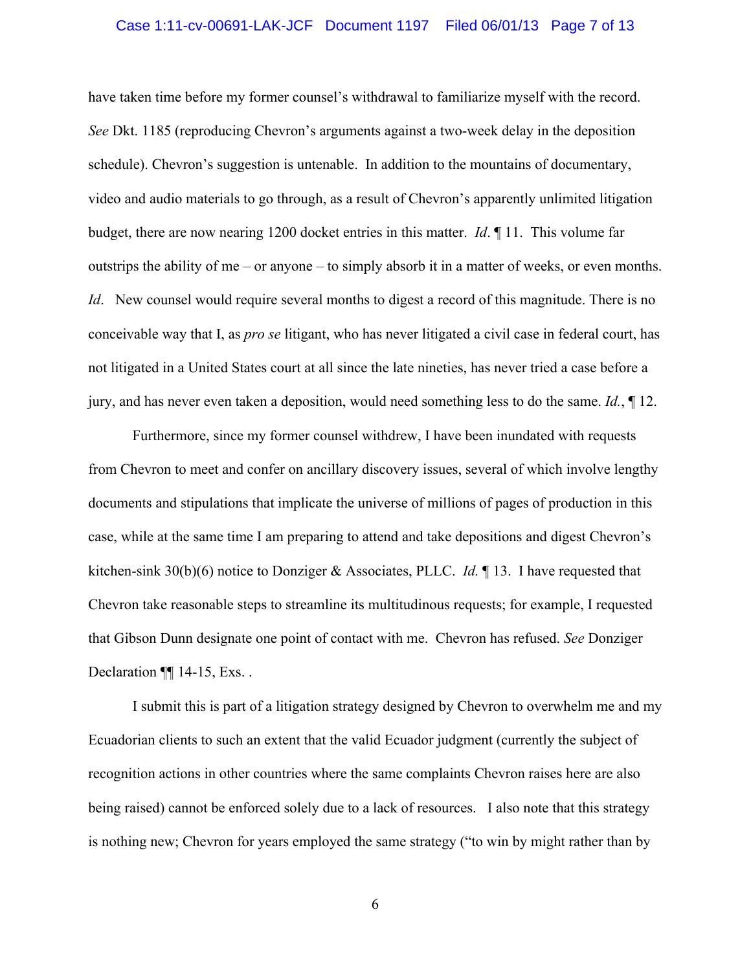#### Case 1:11-cv-00691-LAK-JCF Document 1197 Filed 06/01/13 Page 7 of 13

have taken time before my former counsel's withdrawal to familiarize myself with the record. *See* Dkt. 1185 (reproducing Chevron's arguments against a two-week delay in the deposition schedule). Chevron's suggestion is untenable. In addition to the mountains of documentary, video and audio materials to go through, as a result of Chevron's apparently unlimited litigation budget, there are now nearing 1200 docket entries in this matter. *Id*. ¶ 11. This volume far outstrips the ability of me – or anyone – to simply absorb it in a matter of weeks, or even months. *Id.* New counsel would require several months to digest a record of this magnitude. There is no conceivable way that I, as *pro se* litigant, who has never litigated a civil case in federal court, has not litigated in a United States court at all since the late nineties, has never tried a case before a jury, and has never even taken a deposition, would need something less to do the same. *Id.*, ¶ 12.

Furthermore, since my former counsel withdrew, I have been inundated with requests from Chevron to meet and confer on ancillary discovery issues, several of which involve lengthy documents and stipulations that implicate the universe of millions of pages of production in this case, while at the same time I am preparing to attend and take depositions and digest Chevron's kitchen-sink 30(b)(6) notice to Donziger & Associates, PLLC. *Id.* ¶ 13. I have requested that Chevron take reasonable steps to streamline its multitudinous requests; for example, I requested that Gibson Dunn designate one point of contact with me. Chevron has refused. *See* Donziger Declaration ¶[ 14-15, Exs...

I submit this is part of a litigation strategy designed by Chevron to overwhelm me and my Ecuadorian clients to such an extent that the valid Ecuador judgment (currently the subject of recognition actions in other countries where the same complaints Chevron raises here are also being raised) cannot be enforced solely due to a lack of resources. I also note that this strategy is nothing new; Chevron for years employed the same strategy ("to win by might rather than by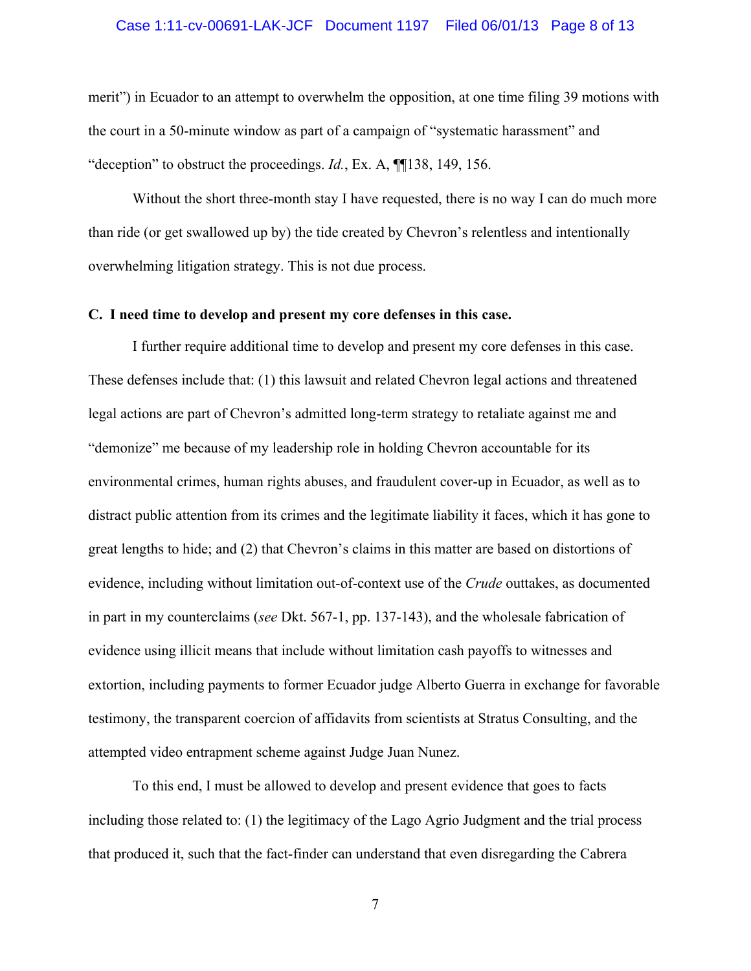#### Case 1:11-cv-00691-LAK-JCF Document 1197 Filed 06/01/13 Page 8 of 13

merit") in Ecuador to an attempt to overwhelm the opposition, at one time filing 39 motions with the court in a 50-minute window as part of a campaign of "systematic harassment" and "deception" to obstruct the proceedings. *Id.*, Ex. A, ¶¶138, 149, 156.

Without the short three-month stay I have requested, there is no way I can do much more than ride (or get swallowed up by) the tide created by Chevron's relentless and intentionally overwhelming litigation strategy. This is not due process.

#### **C. I need time to develop and present my core defenses in this case.**

I further require additional time to develop and present my core defenses in this case. These defenses include that: (1) this lawsuit and related Chevron legal actions and threatened legal actions are part of Chevron's admitted long-term strategy to retaliate against me and "demonize" me because of my leadership role in holding Chevron accountable for its environmental crimes, human rights abuses, and fraudulent cover-up in Ecuador, as well as to distract public attention from its crimes and the legitimate liability it faces, which it has gone to great lengths to hide; and (2) that Chevron's claims in this matter are based on distortions of evidence, including without limitation out-of-context use of the *Crude* outtakes, as documented in part in my counterclaims (*see* Dkt. 567-1, pp. 137-143), and the wholesale fabrication of evidence using illicit means that include without limitation cash payoffs to witnesses and extortion, including payments to former Ecuador judge Alberto Guerra in exchange for favorable testimony, the transparent coercion of affidavits from scientists at Stratus Consulting, and the attempted video entrapment scheme against Judge Juan Nunez.

To this end, I must be allowed to develop and present evidence that goes to facts including those related to: (1) the legitimacy of the Lago Agrio Judgment and the trial process that produced it, such that the fact-finder can understand that even disregarding the Cabrera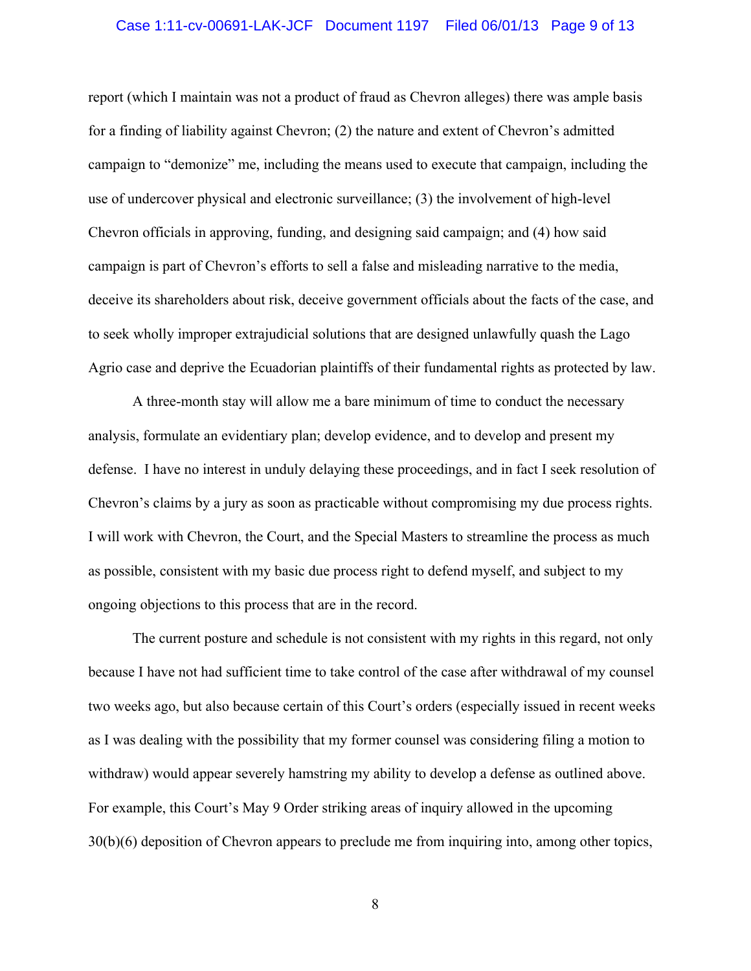#### Case 1:11-cv-00691-LAK-JCF Document 1197 Filed 06/01/13 Page 9 of 13

report (which I maintain was not a product of fraud as Chevron alleges) there was ample basis for a finding of liability against Chevron; (2) the nature and extent of Chevron's admitted campaign to "demonize" me, including the means used to execute that campaign, including the use of undercover physical and electronic surveillance; (3) the involvement of high-level Chevron officials in approving, funding, and designing said campaign; and (4) how said campaign is part of Chevron's efforts to sell a false and misleading narrative to the media, deceive its shareholders about risk, deceive government officials about the facts of the case, and to seek wholly improper extrajudicial solutions that are designed unlawfully quash the Lago Agrio case and deprive the Ecuadorian plaintiffs of their fundamental rights as protected by law.

A three-month stay will allow me a bare minimum of time to conduct the necessary analysis, formulate an evidentiary plan; develop evidence, and to develop and present my defense. I have no interest in unduly delaying these proceedings, and in fact I seek resolution of Chevron's claims by a jury as soon as practicable without compromising my due process rights. I will work with Chevron, the Court, and the Special Masters to streamline the process as much as possible, consistent with my basic due process right to defend myself, and subject to my ongoing objections to this process that are in the record.

The current posture and schedule is not consistent with my rights in this regard, not only because I have not had sufficient time to take control of the case after withdrawal of my counsel two weeks ago, but also because certain of this Court's orders (especially issued in recent weeks as I was dealing with the possibility that my former counsel was considering filing a motion to withdraw) would appear severely hamstring my ability to develop a defense as outlined above. For example, this Court's May 9 Order striking areas of inquiry allowed in the upcoming 30(b)(6) deposition of Chevron appears to preclude me from inquiring into, among other topics,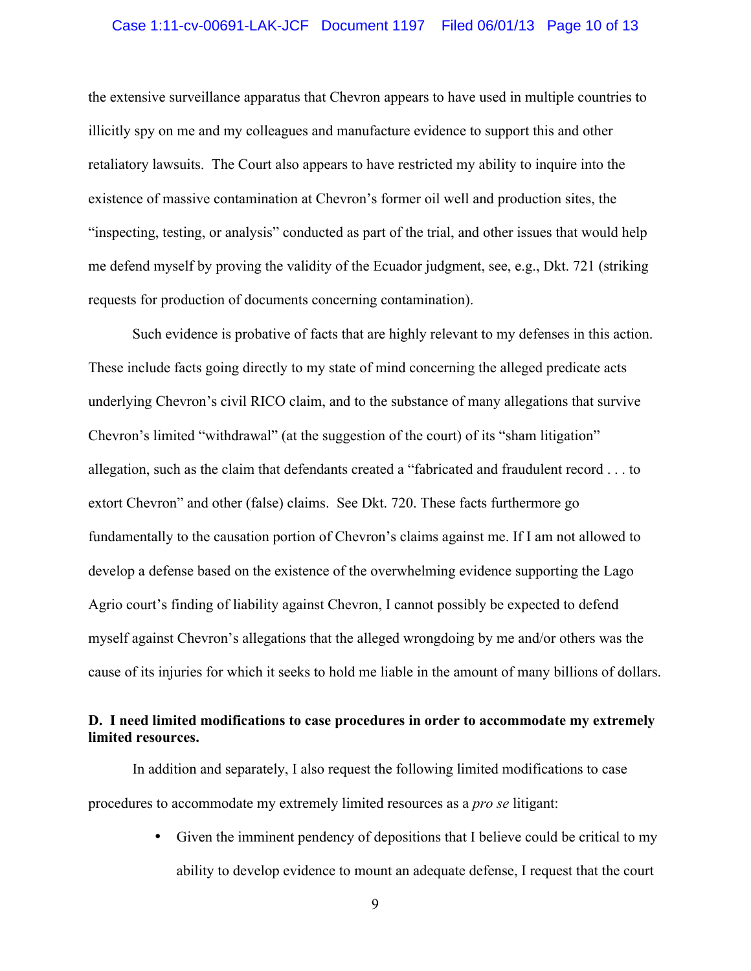#### Case 1:11-cv-00691-LAK-JCF Document 1197 Filed 06/01/13 Page 10 of 13

the extensive surveillance apparatus that Chevron appears to have used in multiple countries to illicitly spy on me and my colleagues and manufacture evidence to support this and other retaliatory lawsuits. The Court also appears to have restricted my ability to inquire into the existence of massive contamination at Chevron's former oil well and production sites, the "inspecting, testing, or analysis" conducted as part of the trial, and other issues that would help me defend myself by proving the validity of the Ecuador judgment, see, e.g., Dkt. 721 (striking requests for production of documents concerning contamination).

Such evidence is probative of facts that are highly relevant to my defenses in this action. These include facts going directly to my state of mind concerning the alleged predicate acts underlying Chevron's civil RICO claim, and to the substance of many allegations that survive Chevron's limited "withdrawal" (at the suggestion of the court) of its "sham litigation" allegation, such as the claim that defendants created a "fabricated and fraudulent record . . . to extort Chevron" and other (false) claims. See Dkt. 720. These facts furthermore go fundamentally to the causation portion of Chevron's claims against me. If I am not allowed to develop a defense based on the existence of the overwhelming evidence supporting the Lago Agrio court's finding of liability against Chevron, I cannot possibly be expected to defend myself against Chevron's allegations that the alleged wrongdoing by me and/or others was the cause of its injuries for which it seeks to hold me liable in the amount of many billions of dollars.

### **D. I need limited modifications to case procedures in order to accommodate my extremely limited resources.**

In addition and separately, I also request the following limited modifications to case procedures to accommodate my extremely limited resources as a *pro se* litigant:

> • Given the imminent pendency of depositions that I believe could be critical to my ability to develop evidence to mount an adequate defense, I request that the court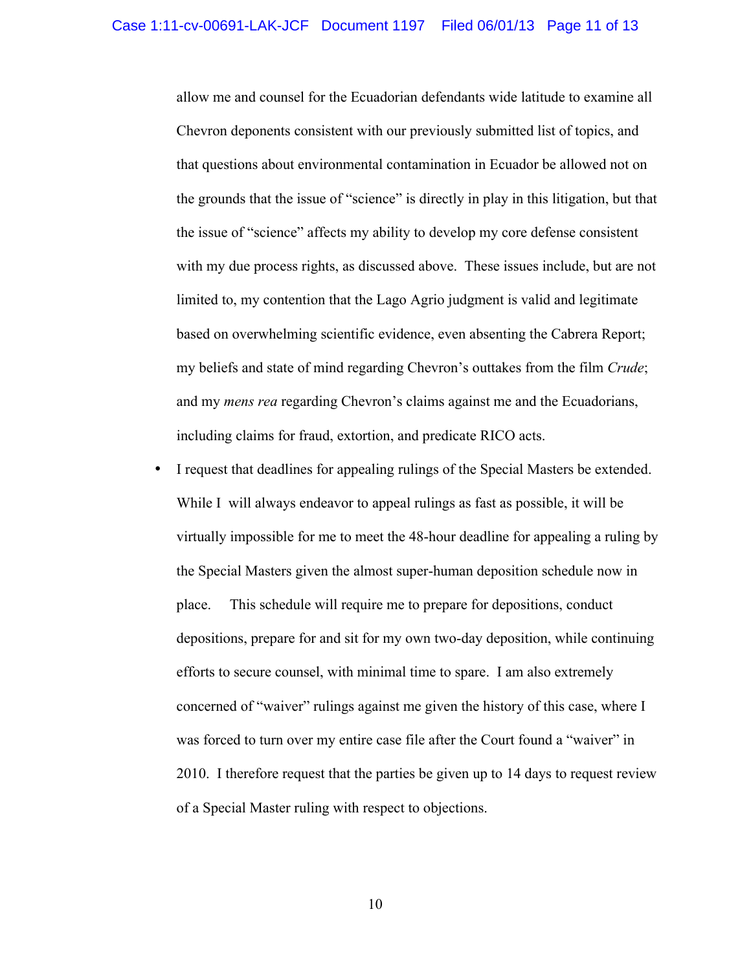allow me and counsel for the Ecuadorian defendants wide latitude to examine all Chevron deponents consistent with our previously submitted list of topics, and that questions about environmental contamination in Ecuador be allowed not on the grounds that the issue of "science" is directly in play in this litigation, but that the issue of "science" affects my ability to develop my core defense consistent with my due process rights, as discussed above. These issues include, but are not limited to, my contention that the Lago Agrio judgment is valid and legitimate based on overwhelming scientific evidence, even absenting the Cabrera Report; my beliefs and state of mind regarding Chevron's outtakes from the film *Crude*; and my *mens rea* regarding Chevron's claims against me and the Ecuadorians, including claims for fraud, extortion, and predicate RICO acts.

• I request that deadlines for appealing rulings of the Special Masters be extended. While I will always endeavor to appeal rulings as fast as possible, it will be virtually impossible for me to meet the 48-hour deadline for appealing a ruling by the Special Masters given the almost super-human deposition schedule now in place. This schedule will require me to prepare for depositions, conduct depositions, prepare for and sit for my own two-day deposition, while continuing efforts to secure counsel, with minimal time to spare. I am also extremely concerned of "waiver" rulings against me given the history of this case, where I was forced to turn over my entire case file after the Court found a "waiver" in 2010. I therefore request that the parties be given up to 14 days to request review of a Special Master ruling with respect to objections.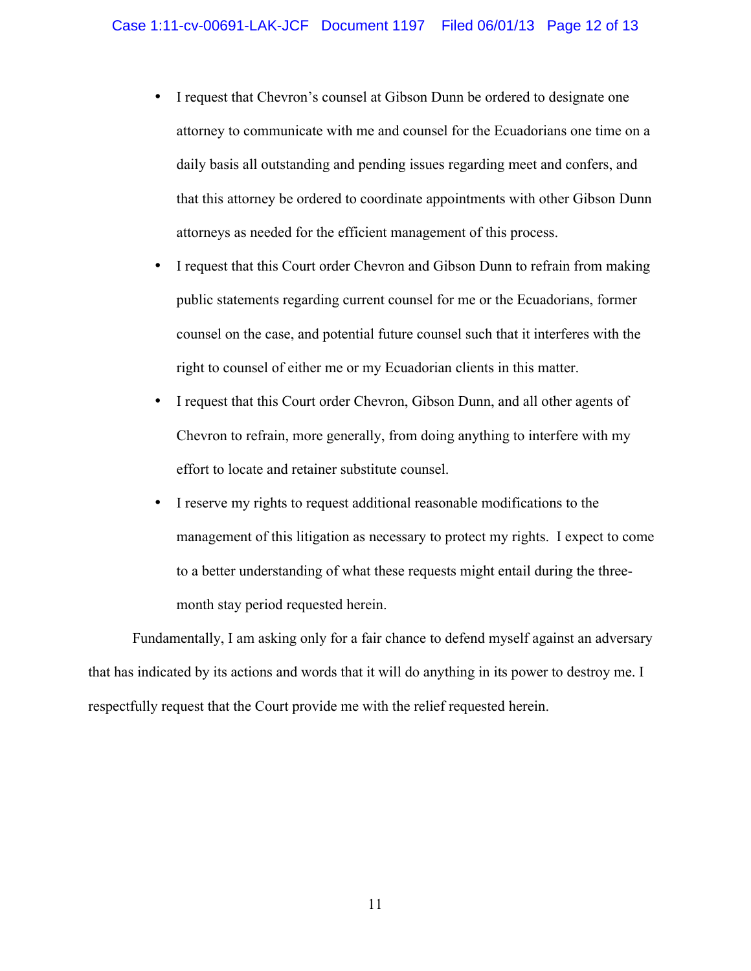- I request that Chevron's counsel at Gibson Dunn be ordered to designate one attorney to communicate with me and counsel for the Ecuadorians one time on a daily basis all outstanding and pending issues regarding meet and confers, and that this attorney be ordered to coordinate appointments with other Gibson Dunn attorneys as needed for the efficient management of this process.
- I request that this Court order Chevron and Gibson Dunn to refrain from making public statements regarding current counsel for me or the Ecuadorians, former counsel on the case, and potential future counsel such that it interferes with the right to counsel of either me or my Ecuadorian clients in this matter.
- I request that this Court order Chevron, Gibson Dunn, and all other agents of Chevron to refrain, more generally, from doing anything to interfere with my effort to locate and retainer substitute counsel.
- I reserve my rights to request additional reasonable modifications to the management of this litigation as necessary to protect my rights. I expect to come to a better understanding of what these requests might entail during the threemonth stay period requested herein.

Fundamentally, I am asking only for a fair chance to defend myself against an adversary that has indicated by its actions and words that it will do anything in its power to destroy me. I respectfully request that the Court provide me with the relief requested herein.